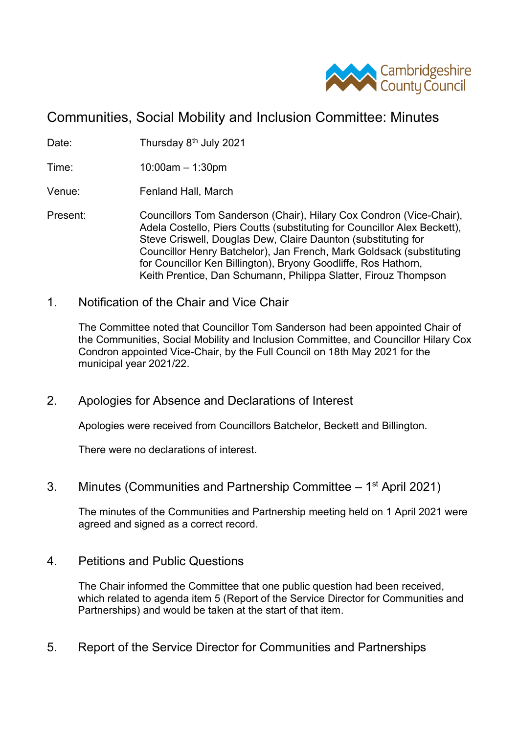

# Communities, Social Mobility and Inclusion Committee: Minutes

Date: Thursday 8<sup>th</sup> July 2021

Time: 10:00am – 1:30pm

Venue: Fenland Hall, March

- Present: Councillors Tom Sanderson (Chair), Hilary Cox Condron (Vice-Chair), Adela Costello, Piers Coutts (substituting for Councillor Alex Beckett), Steve Criswell, Douglas Dew, Claire Daunton (substituting for Councillor Henry Batchelor), Jan French, Mark Goldsack (substituting for Councillor Ken Billington), Bryony Goodliffe, Ros Hathorn, Keith Prentice, Dan Schumann, Philippa Slatter, Firouz Thompson
- 1. Notification of the Chair and Vice Chair

The Committee noted that Councillor Tom Sanderson had been appointed Chair of the Communities, Social Mobility and Inclusion Committee, and Councillor Hilary Cox Condron appointed Vice-Chair, by the Full Council on 18th May 2021 for the municipal year 2021/22.

2. Apologies for Absence and Declarations of Interest

Apologies were received from Councillors Batchelor, Beckett and Billington.

There were no declarations of interest.

3. Minutes (Communities and Partnership Committee – 1<sup>st</sup> April 2021)

The minutes of the Communities and Partnership meeting held on 1 April 2021 were agreed and signed as a correct record.

4. Petitions and Public Questions

The Chair informed the Committee that one public question had been received, which related to agenda item 5 (Report of the Service Director for Communities and Partnerships) and would be taken at the start of that item.

5. Report of the Service Director for Communities and Partnerships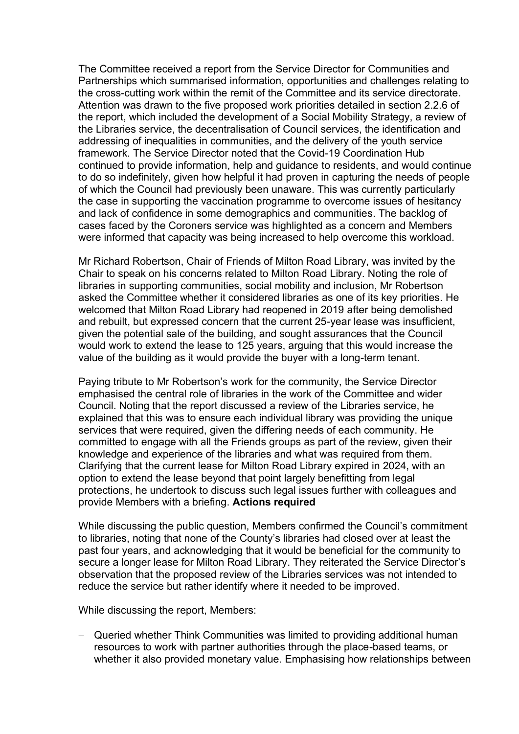The Committee received a report from the Service Director for Communities and Partnerships which summarised information, opportunities and challenges relating to the cross-cutting work within the remit of the Committee and its service directorate. Attention was drawn to the five proposed work priorities detailed in section 2.2.6 of the report, which included the development of a Social Mobility Strategy, a review of the Libraries service, the decentralisation of Council services, the identification and addressing of inequalities in communities, and the delivery of the youth service framework. The Service Director noted that the Covid-19 Coordination Hub continued to provide information, help and guidance to residents, and would continue to do so indefinitely, given how helpful it had proven in capturing the needs of people of which the Council had previously been unaware. This was currently particularly the case in supporting the vaccination programme to overcome issues of hesitancy and lack of confidence in some demographics and communities. The backlog of cases faced by the Coroners service was highlighted as a concern and Members were informed that capacity was being increased to help overcome this workload.

Mr Richard Robertson, Chair of Friends of Milton Road Library, was invited by the Chair to speak on his concerns related to Milton Road Library. Noting the role of libraries in supporting communities, social mobility and inclusion, Mr Robertson asked the Committee whether it considered libraries as one of its key priorities. He welcomed that Milton Road Library had reopened in 2019 after being demolished and rebuilt, but expressed concern that the current 25-year lease was insufficient, given the potential sale of the building, and sought assurances that the Council would work to extend the lease to 125 years, arguing that this would increase the value of the building as it would provide the buyer with a long-term tenant.

Paying tribute to Mr Robertson's work for the community, the Service Director emphasised the central role of libraries in the work of the Committee and wider Council. Noting that the report discussed a review of the Libraries service, he explained that this was to ensure each individual library was providing the unique services that were required, given the differing needs of each community. He committed to engage with all the Friends groups as part of the review, given their knowledge and experience of the libraries and what was required from them. Clarifying that the current lease for Milton Road Library expired in 2024, with an option to extend the lease beyond that point largely benefitting from legal protections, he undertook to discuss such legal issues further with colleagues and provide Members with a briefing. **Actions required**

While discussing the public question, Members confirmed the Council's commitment to libraries, noting that none of the County's libraries had closed over at least the past four years, and acknowledging that it would be beneficial for the community to secure a longer lease for Milton Road Library. They reiterated the Service Director's observation that the proposed review of the Libraries services was not intended to reduce the service but rather identify where it needed to be improved.

While discussing the report, Members:

− Queried whether Think Communities was limited to providing additional human resources to work with partner authorities through the place-based teams, or whether it also provided monetary value. Emphasising how relationships between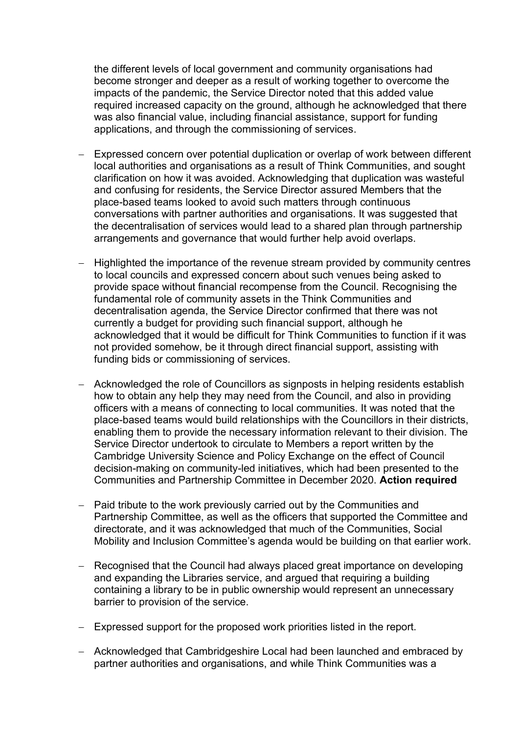the different levels of local government and community organisations had become stronger and deeper as a result of working together to overcome the impacts of the pandemic, the Service Director noted that this added value required increased capacity on the ground, although he acknowledged that there was also financial value, including financial assistance, support for funding applications, and through the commissioning of services.

- − Expressed concern over potential duplication or overlap of work between different local authorities and organisations as a result of Think Communities, and sought clarification on how it was avoided. Acknowledging that duplication was wasteful and confusing for residents, the Service Director assured Members that the place-based teams looked to avoid such matters through continuous conversations with partner authorities and organisations. It was suggested that the decentralisation of services would lead to a shared plan through partnership arrangements and governance that would further help avoid overlaps.
- − Highlighted the importance of the revenue stream provided by community centres to local councils and expressed concern about such venues being asked to provide space without financial recompense from the Council. Recognising the fundamental role of community assets in the Think Communities and decentralisation agenda, the Service Director confirmed that there was not currently a budget for providing such financial support, although he acknowledged that it would be difficult for Think Communities to function if it was not provided somehow, be it through direct financial support, assisting with funding bids or commissioning of services.
- − Acknowledged the role of Councillors as signposts in helping residents establish how to obtain any help they may need from the Council, and also in providing officers with a means of connecting to local communities. It was noted that the place-based teams would build relationships with the Councillors in their districts, enabling them to provide the necessary information relevant to their division. The Service Director undertook to circulate to Members a report written by the Cambridge University Science and Policy Exchange on the effect of Council decision-making on community-led initiatives, which had been presented to the Communities and Partnership Committee in December 2020. **Action required**
- − Paid tribute to the work previously carried out by the Communities and Partnership Committee, as well as the officers that supported the Committee and directorate, and it was acknowledged that much of the Communities, Social Mobility and Inclusion Committee's agenda would be building on that earlier work.
- − Recognised that the Council had always placed great importance on developing and expanding the Libraries service, and argued that requiring a building containing a library to be in public ownership would represent an unnecessary barrier to provision of the service.
- − Expressed support for the proposed work priorities listed in the report.
- − Acknowledged that Cambridgeshire Local had been launched and embraced by partner authorities and organisations, and while Think Communities was a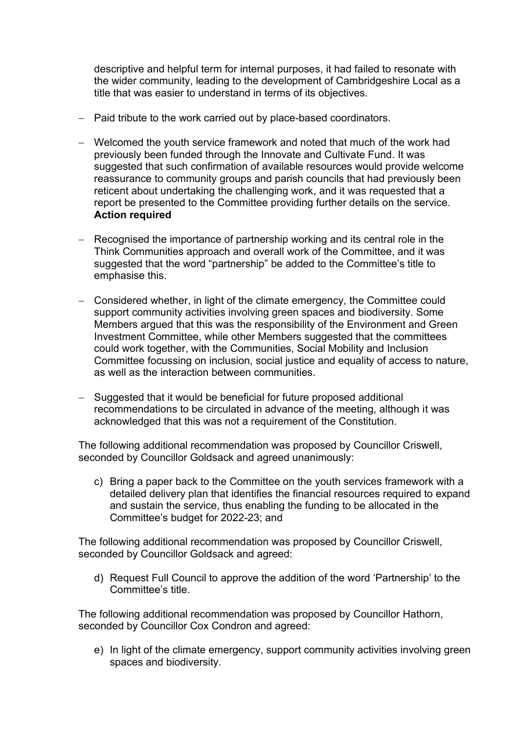descriptive and helpful term for internal purposes, it had failed to resonate with the wider community, leading to the development of Cambridgeshire Local as a title that was easier to understand in terms of its objectives.

- − Paid tribute to the work carried out by place-based coordinators.
- − Welcomed the youth service framework and noted that much of the work had previously been funded through the Innovate and Cultivate Fund. It was suggested that such confirmation of available resources would provide welcome reassurance to community groups and parish councils that had previously been reticent about undertaking the challenging work, and it was requested that a report be presented to the Committee providing further details on the service. **Action required**
- − Recognised the importance of partnership working and its central role in the Think Communities approach and overall work of the Committee, and it was suggested that the word "partnership" be added to the Committee's title to emphasise this.
- − Considered whether, in light of the climate emergency, the Committee could support community activities involving green spaces and biodiversity. Some Members argued that this was the responsibility of the Environment and Green Investment Committee, while other Members suggested that the committees could work together, with the Communities, Social Mobility and Inclusion Committee focussing on inclusion, social justice and equality of access to nature, as well as the interaction between communities.
- − Suggested that it would be beneficial for future proposed additional recommendations to be circulated in advance of the meeting, although it was acknowledged that this was not a requirement of the Constitution.

The following additional recommendation was proposed by Councillor Criswell, seconded by Councillor Goldsack and agreed unanimously:

c) Bring a paper back to the Committee on the youth services framework with a detailed delivery plan that identifies the financial resources required to expand and sustain the service, thus enabling the funding to be allocated in the Committee's budget for 2022-23; and

The following additional recommendation was proposed by Councillor Criswell, seconded by Councillor Goldsack and agreed:

d) Request Full Council to approve the addition of the word 'Partnership' to the Committee's title.

The following additional recommendation was proposed by Councillor Hathorn, seconded by Councillor Cox Condron and agreed:

e) In light of the climate emergency, support community activities involving green spaces and biodiversity.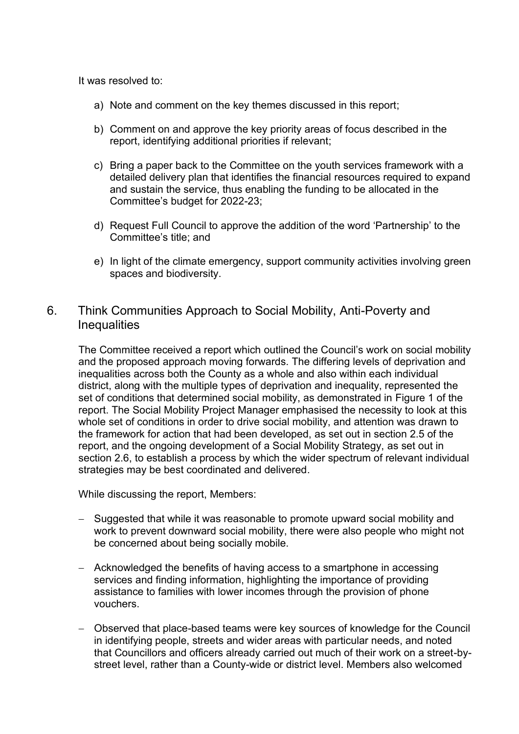It was resolved to:

- a) Note and comment on the key themes discussed in this report;
- b) Comment on and approve the key priority areas of focus described in the report, identifying additional priorities if relevant;
- c) Bring a paper back to the Committee on the youth services framework with a detailed delivery plan that identifies the financial resources required to expand and sustain the service, thus enabling the funding to be allocated in the Committee's budget for 2022-23;
- d) Request Full Council to approve the addition of the word 'Partnership' to the Committee's title; and
- e) In light of the climate emergency, support community activities involving green spaces and biodiversity.

### 6. Think Communities Approach to Social Mobility, Anti-Poverty and **Inequalities**

The Committee received a report which outlined the Council's work on social mobility and the proposed approach moving forwards. The differing levels of deprivation and inequalities across both the County as a whole and also within each individual district, along with the multiple types of deprivation and inequality, represented the set of conditions that determined social mobility, as demonstrated in Figure 1 of the report. The Social Mobility Project Manager emphasised the necessity to look at this whole set of conditions in order to drive social mobility, and attention was drawn to the framework for action that had been developed, as set out in section 2.5 of the report, and the ongoing development of a Social Mobility Strategy, as set out in section 2.6, to establish a process by which the wider spectrum of relevant individual strategies may be best coordinated and delivered.

While discussing the report, Members:

- − Suggested that while it was reasonable to promote upward social mobility and work to prevent downward social mobility, there were also people who might not be concerned about being socially mobile.
- − Acknowledged the benefits of having access to a smartphone in accessing services and finding information, highlighting the importance of providing assistance to families with lower incomes through the provision of phone vouchers.
- − Observed that place-based teams were key sources of knowledge for the Council in identifying people, streets and wider areas with particular needs, and noted that Councillors and officers already carried out much of their work on a street-bystreet level, rather than a County-wide or district level. Members also welcomed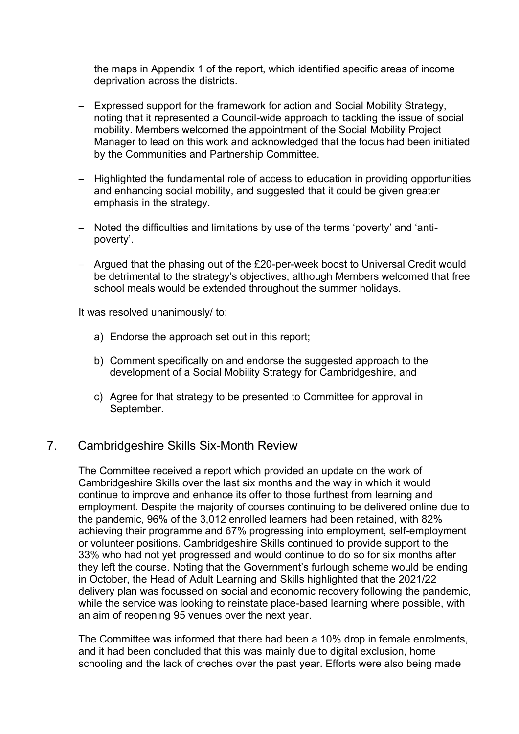the maps in Appendix 1 of the report, which identified specific areas of income deprivation across the districts.

- − Expressed support for the framework for action and Social Mobility Strategy, noting that it represented a Council-wide approach to tackling the issue of social mobility. Members welcomed the appointment of the Social Mobility Project Manager to lead on this work and acknowledged that the focus had been initiated by the Communities and Partnership Committee.
- − Highlighted the fundamental role of access to education in providing opportunities and enhancing social mobility, and suggested that it could be given greater emphasis in the strategy.
- − Noted the difficulties and limitations by use of the terms 'poverty' and 'antipoverty'.
- − Argued that the phasing out of the £20-per-week boost to Universal Credit would be detrimental to the strategy's objectives, although Members welcomed that free school meals would be extended throughout the summer holidays.

It was resolved unanimously/ to:

- a) Endorse the approach set out in this report;
- b) Comment specifically on and endorse the suggested approach to the development of a Social Mobility Strategy for Cambridgeshire, and
- c) Agree for that strategy to be presented to Committee for approval in September.

#### 7. Cambridgeshire Skills Six-Month Review

The Committee received a report which provided an update on the work of Cambridgeshire Skills over the last six months and the way in which it would continue to improve and enhance its offer to those furthest from learning and employment. Despite the majority of courses continuing to be delivered online due to the pandemic, 96% of the 3,012 enrolled learners had been retained, with 82% achieving their programme and 67% progressing into employment, self-employment or volunteer positions. Cambridgeshire Skills continued to provide support to the 33% who had not yet progressed and would continue to do so for six months after they left the course. Noting that the Government's furlough scheme would be ending in October, the Head of Adult Learning and Skills highlighted that the 2021/22 delivery plan was focussed on social and economic recovery following the pandemic, while the service was looking to reinstate place-based learning where possible, with an aim of reopening 95 venues over the next year.

The Committee was informed that there had been a 10% drop in female enrolments, and it had been concluded that this was mainly due to digital exclusion, home schooling and the lack of creches over the past year. Efforts were also being made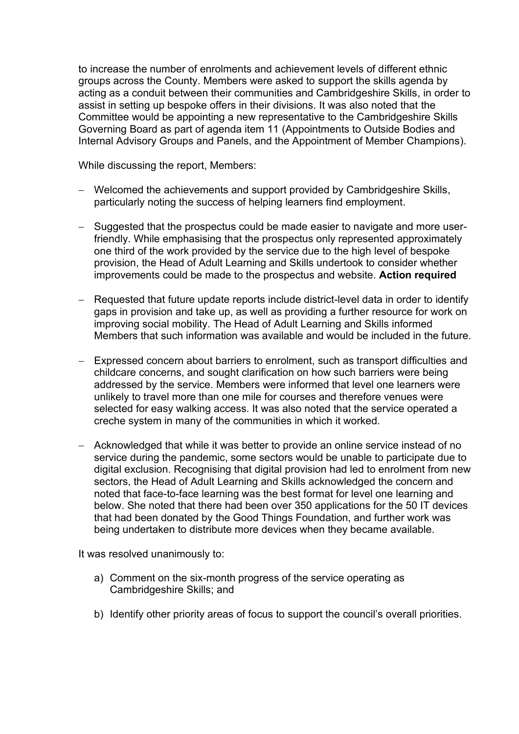to increase the number of enrolments and achievement levels of different ethnic groups across the County. Members were asked to support the skills agenda by acting as a conduit between their communities and Cambridgeshire Skills, in order to assist in setting up bespoke offers in their divisions. It was also noted that the Committee would be appointing a new representative to the Cambridgeshire Skills Governing Board as part of agenda item 11 (Appointments to Outside Bodies and Internal Advisory Groups and Panels, and the Appointment of Member Champions).

While discussing the report, Members:

- − Welcomed the achievements and support provided by Cambridgeshire Skills, particularly noting the success of helping learners find employment.
- − Suggested that the prospectus could be made easier to navigate and more userfriendly. While emphasising that the prospectus only represented approximately one third of the work provided by the service due to the high level of bespoke provision, the Head of Adult Learning and Skills undertook to consider whether improvements could be made to the prospectus and website. **Action required**
- − Requested that future update reports include district-level data in order to identify gaps in provision and take up, as well as providing a further resource for work on improving social mobility. The Head of Adult Learning and Skills informed Members that such information was available and would be included in the future.
- − Expressed concern about barriers to enrolment, such as transport difficulties and childcare concerns, and sought clarification on how such barriers were being addressed by the service. Members were informed that level one learners were unlikely to travel more than one mile for courses and therefore venues were selected for easy walking access. It was also noted that the service operated a creche system in many of the communities in which it worked.
- − Acknowledged that while it was better to provide an online service instead of no service during the pandemic, some sectors would be unable to participate due to digital exclusion. Recognising that digital provision had led to enrolment from new sectors, the Head of Adult Learning and Skills acknowledged the concern and noted that face-to-face learning was the best format for level one learning and below. She noted that there had been over 350 applications for the 50 IT devices that had been donated by the Good Things Foundation, and further work was being undertaken to distribute more devices when they became available.

It was resolved unanimously to:

- a) Comment on the six-month progress of the service operating as Cambridgeshire Skills; and
- b) Identify other priority areas of focus to support the council's overall priorities.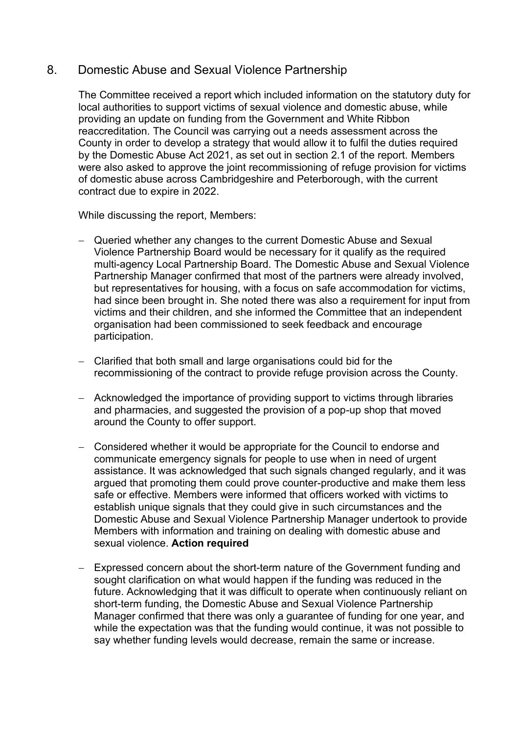## 8. Domestic Abuse and Sexual Violence Partnership

The Committee received a report which included information on the statutory duty for local authorities to support victims of sexual violence and domestic abuse, while providing an update on funding from the Government and White Ribbon reaccreditation. The Council was carrying out a needs assessment across the County in order to develop a strategy that would allow it to fulfil the duties required by the Domestic Abuse Act 2021, as set out in section 2.1 of the report. Members were also asked to approve the joint recommissioning of refuge provision for victims of domestic abuse across Cambridgeshire and Peterborough, with the current contract due to expire in 2022.

While discussing the report, Members:

- − Queried whether any changes to the current Domestic Abuse and Sexual Violence Partnership Board would be necessary for it qualify as the required multi-agency Local Partnership Board. The Domestic Abuse and Sexual Violence Partnership Manager confirmed that most of the partners were already involved, but representatives for housing, with a focus on safe accommodation for victims, had since been brought in. She noted there was also a requirement for input from victims and their children, and she informed the Committee that an independent organisation had been commissioned to seek feedback and encourage participation.
- − Clarified that both small and large organisations could bid for the recommissioning of the contract to provide refuge provision across the County.
- − Acknowledged the importance of providing support to victims through libraries and pharmacies, and suggested the provision of a pop-up shop that moved around the County to offer support.
- − Considered whether it would be appropriate for the Council to endorse and communicate emergency signals for people to use when in need of urgent assistance. It was acknowledged that such signals changed regularly, and it was argued that promoting them could prove counter-productive and make them less safe or effective. Members were informed that officers worked with victims to establish unique signals that they could give in such circumstances and the Domestic Abuse and Sexual Violence Partnership Manager undertook to provide Members with information and training on dealing with domestic abuse and sexual violence. **Action required**
- − Expressed concern about the short-term nature of the Government funding and sought clarification on what would happen if the funding was reduced in the future. Acknowledging that it was difficult to operate when continuously reliant on short-term funding, the Domestic Abuse and Sexual Violence Partnership Manager confirmed that there was only a guarantee of funding for one year, and while the expectation was that the funding would continue, it was not possible to say whether funding levels would decrease, remain the same or increase.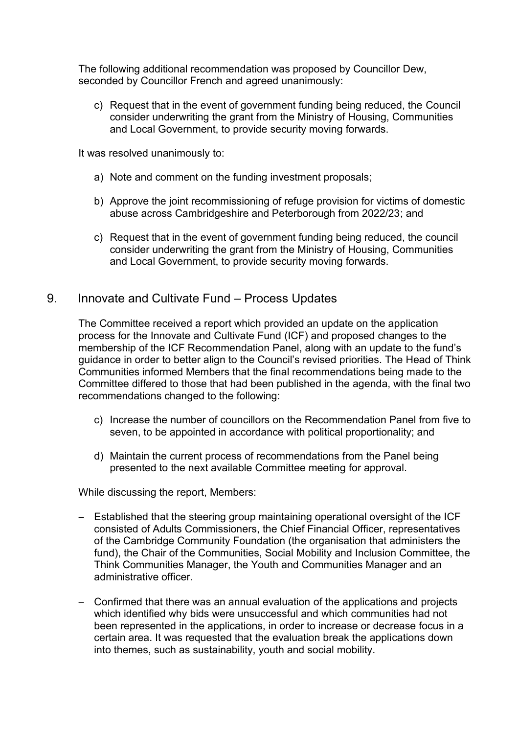The following additional recommendation was proposed by Councillor Dew, seconded by Councillor French and agreed unanimously:

c) Request that in the event of government funding being reduced, the Council consider underwriting the grant from the Ministry of Housing, Communities and Local Government, to provide security moving forwards.

It was resolved unanimously to:

- a) Note and comment on the funding investment proposals;
- b) Approve the joint recommissioning of refuge provision for victims of domestic abuse across Cambridgeshire and Peterborough from 2022/23; and
- c) Request that in the event of government funding being reduced, the council consider underwriting the grant from the Ministry of Housing, Communities and Local Government, to provide security moving forwards.

#### 9. Innovate and Cultivate Fund – Process Updates

The Committee received a report which provided an update on the application process for the Innovate and Cultivate Fund (ICF) and proposed changes to the membership of the ICF Recommendation Panel, along with an update to the fund's guidance in order to better align to the Council's revised priorities. The Head of Think Communities informed Members that the final recommendations being made to the Committee differed to those that had been published in the agenda, with the final two recommendations changed to the following:

- c) Increase the number of councillors on the Recommendation Panel from five to seven, to be appointed in accordance with political proportionality; and
- d) Maintain the current process of recommendations from the Panel being presented to the next available Committee meeting for approval.

While discussing the report, Members:

- − Established that the steering group maintaining operational oversight of the ICF consisted of Adults Commissioners, the Chief Financial Officer, representatives of the Cambridge Community Foundation (the organisation that administers the fund), the Chair of the Communities, Social Mobility and Inclusion Committee, the Think Communities Manager, the Youth and Communities Manager and an administrative officer.
- − Confirmed that there was an annual evaluation of the applications and projects which identified why bids were unsuccessful and which communities had not been represented in the applications, in order to increase or decrease focus in a certain area. It was requested that the evaluation break the applications down into themes, such as sustainability, youth and social mobility.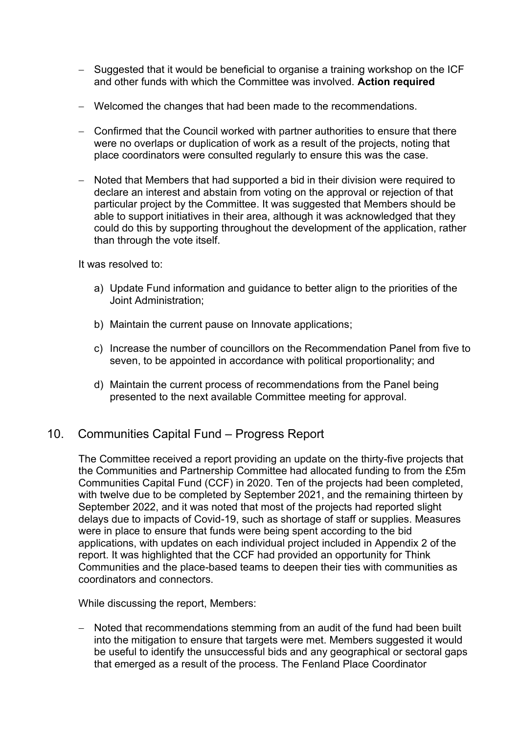- − Suggested that it would be beneficial to organise a training workshop on the ICF and other funds with which the Committee was involved. **Action required**
- − Welcomed the changes that had been made to the recommendations.
- − Confirmed that the Council worked with partner authorities to ensure that there were no overlaps or duplication of work as a result of the projects, noting that place coordinators were consulted regularly to ensure this was the case.
- − Noted that Members that had supported a bid in their division were required to declare an interest and abstain from voting on the approval or rejection of that particular project by the Committee. It was suggested that Members should be able to support initiatives in their area, although it was acknowledged that they could do this by supporting throughout the development of the application, rather than through the vote itself.

It was resolved to:

- a) Update Fund information and guidance to better align to the priorities of the Joint Administration;
- b) Maintain the current pause on Innovate applications;
- c) Increase the number of councillors on the Recommendation Panel from five to seven, to be appointed in accordance with political proportionality; and
- d) Maintain the current process of recommendations from the Panel being presented to the next available Committee meeting for approval.

## 10. Communities Capital Fund – Progress Report

The Committee received a report providing an update on the thirty-five projects that the Communities and Partnership Committee had allocated funding to from the £5m Communities Capital Fund (CCF) in 2020. Ten of the projects had been completed, with twelve due to be completed by September 2021, and the remaining thirteen by September 2022, and it was noted that most of the projects had reported slight delays due to impacts of Covid-19, such as shortage of staff or supplies. Measures were in place to ensure that funds were being spent according to the bid applications, with updates on each individual project included in Appendix 2 of the report. It was highlighted that the CCF had provided an opportunity for Think Communities and the place-based teams to deepen their ties with communities as coordinators and connectors.

While discussing the report, Members:

− Noted that recommendations stemming from an audit of the fund had been built into the mitigation to ensure that targets were met. Members suggested it would be useful to identify the unsuccessful bids and any geographical or sectoral gaps that emerged as a result of the process. The Fenland Place Coordinator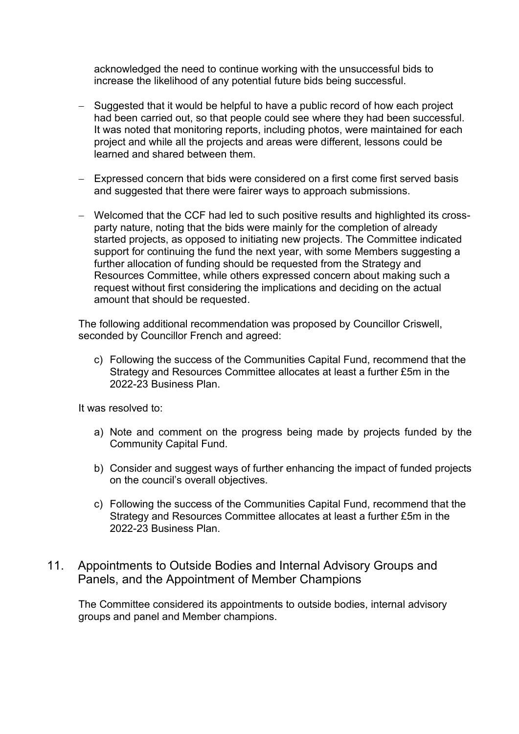acknowledged the need to continue working with the unsuccessful bids to increase the likelihood of any potential future bids being successful.

- − Suggested that it would be helpful to have a public record of how each project had been carried out, so that people could see where they had been successful. It was noted that monitoring reports, including photos, were maintained for each project and while all the projects and areas were different, lessons could be learned and shared between them.
- − Expressed concern that bids were considered on a first come first served basis and suggested that there were fairer ways to approach submissions.
- − Welcomed that the CCF had led to such positive results and highlighted its crossparty nature, noting that the bids were mainly for the completion of already started projects, as opposed to initiating new projects. The Committee indicated support for continuing the fund the next year, with some Members suggesting a further allocation of funding should be requested from the Strategy and Resources Committee, while others expressed concern about making such a request without first considering the implications and deciding on the actual amount that should be requested.

The following additional recommendation was proposed by Councillor Criswell, seconded by Councillor French and agreed:

c) Following the success of the Communities Capital Fund, recommend that the Strategy and Resources Committee allocates at least a further £5m in the 2022-23 Business Plan.

It was resolved to:

- a) Note and comment on the progress being made by projects funded by the Community Capital Fund.
- b) Consider and suggest ways of further enhancing the impact of funded projects on the council's overall objectives.
- c) Following the success of the Communities Capital Fund, recommend that the Strategy and Resources Committee allocates at least a further £5m in the 2022-23 Business Plan.

#### 11. Appointments to Outside Bodies and Internal Advisory Groups and Panels, and the Appointment of Member Champions

The Committee considered its appointments to outside bodies, internal advisory groups and panel and Member champions.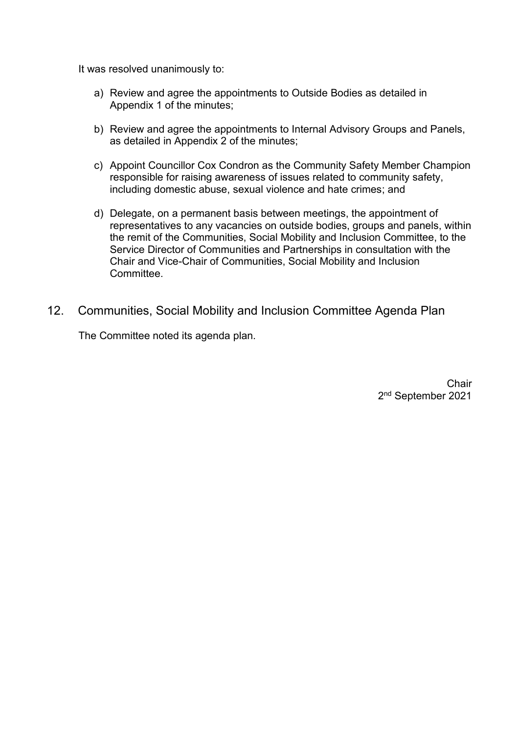It was resolved unanimously to:

- a) Review and agree the appointments to Outside Bodies as detailed in Appendix 1 of the minutes;
- b) Review and agree the appointments to Internal Advisory Groups and Panels, as detailed in Appendix 2 of the minutes;
- c) Appoint Councillor Cox Condron as the Community Safety Member Champion responsible for raising awareness of issues related to community safety, including domestic abuse, sexual violence and hate crimes; and
- d) Delegate, on a permanent basis between meetings, the appointment of representatives to any vacancies on outside bodies, groups and panels, within the remit of the Communities, Social Mobility and Inclusion Committee, to the Service Director of Communities and Partnerships in consultation with the Chair and Vice-Chair of Communities, Social Mobility and Inclusion **Committee**
- 12. Communities, Social Mobility and Inclusion Committee Agenda Plan

The Committee noted its agenda plan.

**Chair** 2<sup>nd</sup> September 2021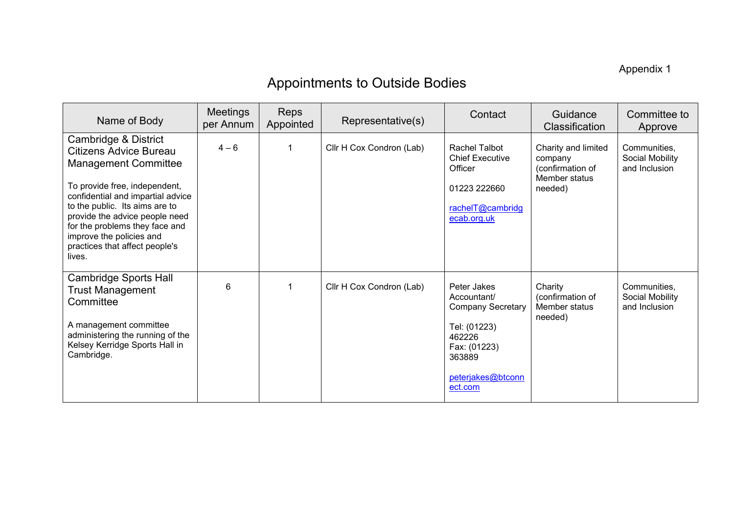Appendix 1

# Appointments to Outside Bodies

| Name of Body                                                                                                                                                                                                                                                                                                                             | <b>Meetings</b><br>per Annum | <b>Reps</b><br>Appointed | Representative(s)        | Contact                                                                                                                                    | Guidance<br>Classification                                                     | Committee to<br>Approve                          |
|------------------------------------------------------------------------------------------------------------------------------------------------------------------------------------------------------------------------------------------------------------------------------------------------------------------------------------------|------------------------------|--------------------------|--------------------------|--------------------------------------------------------------------------------------------------------------------------------------------|--------------------------------------------------------------------------------|--------------------------------------------------|
| Cambridge & District<br><b>Citizens Advice Bureau</b><br><b>Management Committee</b><br>To provide free, independent,<br>confidential and impartial advice<br>to the public. Its aims are to<br>provide the advice people need<br>for the problems they face and<br>improve the policies and<br>practices that affect people's<br>lives. | $4 - 6$                      |                          | Cllr H Cox Condron (Lab) | <b>Rachel Talbot</b><br><b>Chief Executive</b><br>Officer<br>01223 222660<br>rachelT@cambridg<br>ecab.org.uk                               | Charity and limited<br>company<br>(confirmation of<br>Member status<br>needed) | Communities,<br>Social Mobility<br>and Inclusion |
| <b>Cambridge Sports Hall</b><br><b>Trust Management</b><br>Committee<br>A management committee<br>administering the running of the<br>Kelsey Kerridge Sports Hall in<br>Cambridge.                                                                                                                                                       | 6                            | 1                        | Cllr H Cox Condron (Lab) | Peter Jakes<br>Accountant/<br><b>Company Secretary</b><br>Tel: (01223)<br>462226<br>Fax: (01223)<br>363889<br>peterjakes@btconn<br>ect.com | Charity<br>(confirmation of<br>Member status<br>needed)                        | Communities,<br>Social Mobility<br>and Inclusion |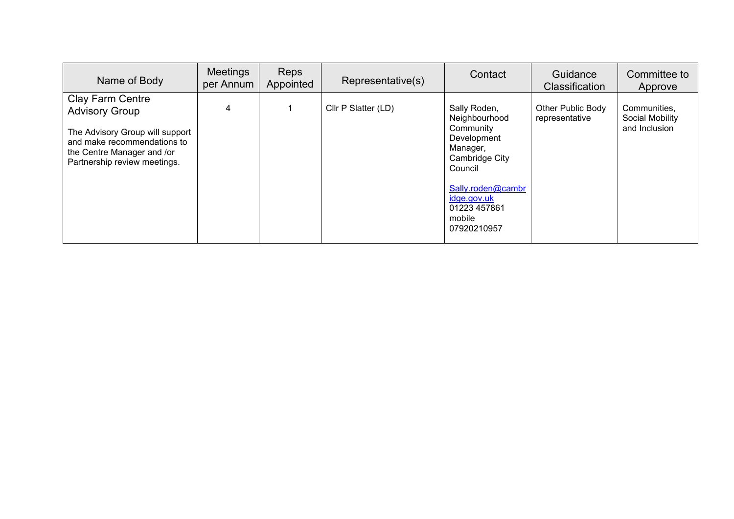| Name of Body                                                                                                                                                              | Meetings<br>per Annum | <b>Reps</b><br>Appointed | Representative(s)   | Contact                                                                                                                                                                         | Guidance<br><b>Classification</b>   | Committee to<br>Approve                          |
|---------------------------------------------------------------------------------------------------------------------------------------------------------------------------|-----------------------|--------------------------|---------------------|---------------------------------------------------------------------------------------------------------------------------------------------------------------------------------|-------------------------------------|--------------------------------------------------|
| Clay Farm Centre<br><b>Advisory Group</b><br>The Advisory Group will support<br>and make recommendations to<br>the Centre Manager and /or<br>Partnership review meetings. | 4                     |                          | Cllr P Slatter (LD) | Sally Roden,<br>Neighbourhood<br>Community<br>Development<br>Manager,<br>Cambridge City<br>Council<br>Sally.roden@cambr<br>idge.gov.uk<br>01223 457861<br>mobile<br>07920210957 | Other Public Body<br>representative | Communities,<br>Social Mobility<br>and Inclusion |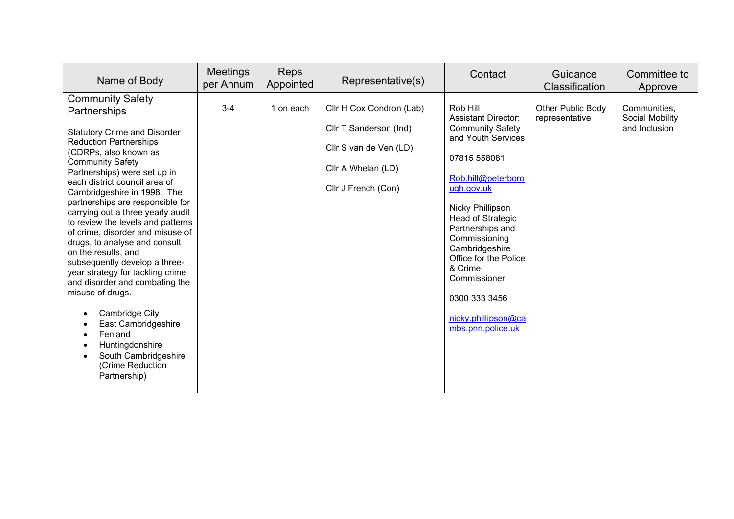| Name of Body                                                                                                                                                                                                                                                                                                                                                                                                                                                                                                                                                                                                                                                                                                                                | <b>Meetings</b><br>per Annum | <b>Reps</b><br>Appointed | Representative(s)                                                                                                         | Contact                                                                                                                                                                                                                                                                                                                                                                    | Guidance<br>Classification                 | Committee to<br>Approve                          |
|---------------------------------------------------------------------------------------------------------------------------------------------------------------------------------------------------------------------------------------------------------------------------------------------------------------------------------------------------------------------------------------------------------------------------------------------------------------------------------------------------------------------------------------------------------------------------------------------------------------------------------------------------------------------------------------------------------------------------------------------|------------------------------|--------------------------|---------------------------------------------------------------------------------------------------------------------------|----------------------------------------------------------------------------------------------------------------------------------------------------------------------------------------------------------------------------------------------------------------------------------------------------------------------------------------------------------------------------|--------------------------------------------|--------------------------------------------------|
| <b>Community Safety</b><br>Partnerships<br><b>Statutory Crime and Disorder</b><br><b>Reduction Partnerships</b><br>(CDRPs, also known as<br><b>Community Safety</b><br>Partnerships) were set up in<br>each district council area of<br>Cambridgeshire in 1998. The<br>partnerships are responsible for<br>carrying out a three yearly audit<br>to review the levels and patterns<br>of crime, disorder and misuse of<br>drugs, to analyse and consult<br>on the results, and<br>subsequently develop a three-<br>year strategy for tackling crime<br>and disorder and combating the<br>misuse of drugs.<br>Cambridge City<br>East Cambridgeshire<br>Fenland<br>Huntingdonshire<br>South Cambridgeshire<br>(Crime Reduction<br>Partnership) | $3 - 4$                      | 1 on each                | Cllr H Cox Condron (Lab)<br>Cllr T Sanderson (Ind)<br>Cllr S van de Ven (LD)<br>Cllr A Whelan (LD)<br>Cllr J French (Con) | Rob Hill<br><b>Assistant Director:</b><br><b>Community Safety</b><br>and Youth Services<br>07815 558081<br>Rob.hill@peterboro<br>ugh.gov.uk<br><b>Nicky Phillipson</b><br><b>Head of Strategic</b><br>Partnerships and<br>Commissioning<br>Cambridgeshire<br>Office for the Police<br>& Crime<br>Commissioner<br>0300 333 3456<br>nicky.phillipson@ca<br>mbs.pnn.police.uk | <b>Other Public Body</b><br>representative | Communities,<br>Social Mobility<br>and Inclusion |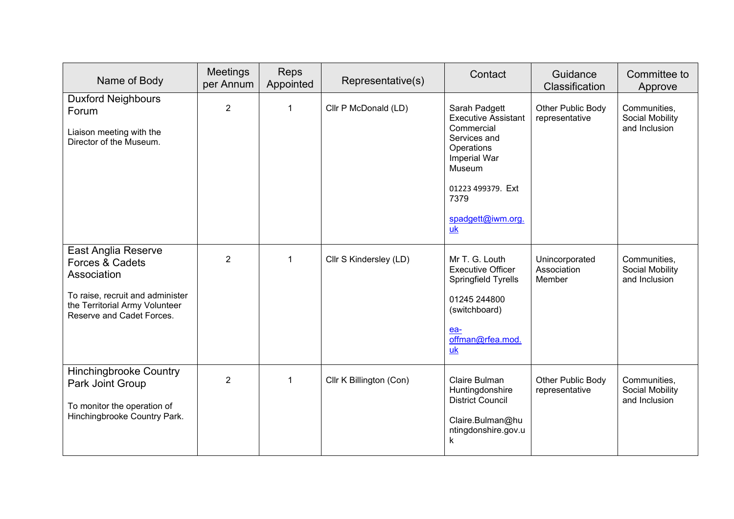| Name of Body                                                                                                                                             | Meetings<br>per Annum | Reps<br>Appointed | Representative(s)       | Contact                                                                                                                                                                   | Guidance<br>Classification              | Committee to<br>Approve                          |
|----------------------------------------------------------------------------------------------------------------------------------------------------------|-----------------------|-------------------|-------------------------|---------------------------------------------------------------------------------------------------------------------------------------------------------------------------|-----------------------------------------|--------------------------------------------------|
| <b>Duxford Neighbours</b><br>Forum<br>Liaison meeting with the<br>Director of the Museum.                                                                | $\overline{2}$        | $\mathbf{1}$      | Cllr P McDonald (LD)    | Sarah Padgett<br><b>Executive Assistant</b><br>Commercial<br>Services and<br>Operations<br>Imperial War<br>Museum<br>01223 499379. Ext<br>7379<br>spadgett@iwm.org.<br>uk | Other Public Body<br>representative     | Communities,<br>Social Mobility<br>and Inclusion |
| East Anglia Reserve<br>Forces & Cadets<br>Association<br>To raise, recruit and administer<br>the Territorial Army Volunteer<br>Reserve and Cadet Forces. | $\overline{2}$        | $\overline{1}$    | Cllr S Kindersley (LD)  | Mr T. G. Louth<br><b>Executive Officer</b><br>Springfield Tyrells<br>01245 244800<br>(switchboard)<br>ea-<br>offman@rfea.mod.<br>uk                                       | Unincorporated<br>Association<br>Member | Communities,<br>Social Mobility<br>and Inclusion |
| <b>Hinchingbrooke Country</b><br>Park Joint Group<br>To monitor the operation of<br>Hinchingbrooke Country Park.                                         | $\overline{2}$        | $\overline{1}$    | Cllr K Billington (Con) | Claire Bulman<br>Huntingdonshire<br><b>District Council</b><br>Claire.Bulman@hu<br>ntingdonshire.gov.u<br>k                                                               | Other Public Body<br>representative     | Communities,<br>Social Mobility<br>and Inclusion |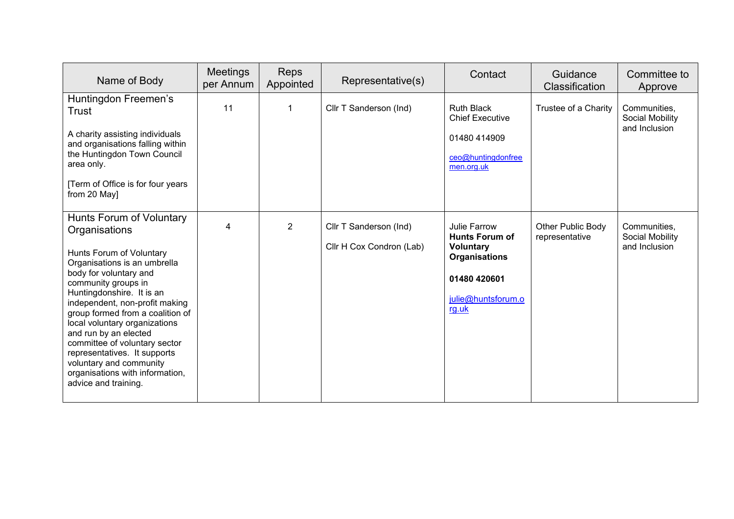| Name of Body                                                                                                                                                                                                                                                                                                                                                                                                                                                               | <b>Meetings</b><br>per Annum | Reps<br>Appointed | Representative(s)                                  | Contact                                                                                                                          | Guidance<br>Classification          | Committee to<br>Approve                          |
|----------------------------------------------------------------------------------------------------------------------------------------------------------------------------------------------------------------------------------------------------------------------------------------------------------------------------------------------------------------------------------------------------------------------------------------------------------------------------|------------------------------|-------------------|----------------------------------------------------|----------------------------------------------------------------------------------------------------------------------------------|-------------------------------------|--------------------------------------------------|
| Huntingdon Freemen's<br>Trust<br>A charity assisting individuals<br>and organisations falling within<br>the Huntingdon Town Council<br>area only.<br>[Term of Office is for four years<br>from 20 May]                                                                                                                                                                                                                                                                     | 11                           | 1                 | Cllr T Sanderson (Ind)                             | <b>Ruth Black</b><br><b>Chief Executive</b><br>01480 414909<br>ceo@huntingdonfree<br>men.org.uk                                  | Trustee of a Charity                | Communities,<br>Social Mobility<br>and Inclusion |
| Hunts Forum of Voluntary<br>Organisations<br>Hunts Forum of Voluntary<br>Organisations is an umbrella<br>body for voluntary and<br>community groups in<br>Huntingdonshire. It is an<br>independent, non-profit making<br>group formed from a coalition of<br>local voluntary organizations<br>and run by an elected<br>committee of voluntary sector<br>representatives. It supports<br>voluntary and community<br>organisations with information,<br>advice and training. | $\overline{\mathbf{4}}$      | $\overline{2}$    | Cllr T Sanderson (Ind)<br>Cllr H Cox Condron (Lab) | Julie Farrow<br><b>Hunts Forum of</b><br><b>Voluntary</b><br><b>Organisations</b><br>01480 420601<br>julie@huntsforum.o<br>rg.uk | Other Public Body<br>representative | Communities,<br>Social Mobility<br>and Inclusion |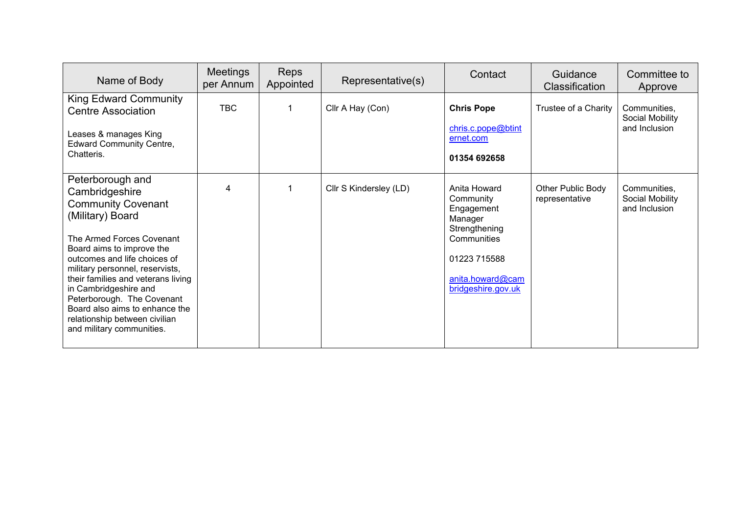| Name of Body                                                                                                                                                                                                                                                                                                                                                                                                  | <b>Meetings</b><br>per Annum | <b>Reps</b><br>Appointed | Representative(s)      | Contact                                                                                                                                      | Guidance<br><b>Classification</b>   | Committee to<br>Approve                          |
|---------------------------------------------------------------------------------------------------------------------------------------------------------------------------------------------------------------------------------------------------------------------------------------------------------------------------------------------------------------------------------------------------------------|------------------------------|--------------------------|------------------------|----------------------------------------------------------------------------------------------------------------------------------------------|-------------------------------------|--------------------------------------------------|
| <b>King Edward Community</b><br><b>Centre Association</b><br>Leases & manages King<br><b>Edward Community Centre,</b><br>Chatteris.                                                                                                                                                                                                                                                                           | <b>TBC</b>                   |                          | Cllr A Hay (Con)       | <b>Chris Pope</b><br>chris.c.pope@btint<br>ernet.com<br>01354 692658                                                                         | Trustee of a Charity                | Communities,<br>Social Mobility<br>and Inclusion |
| Peterborough and<br>Cambridgeshire<br><b>Community Covenant</b><br>(Military) Board<br>The Armed Forces Covenant<br>Board aims to improve the<br>outcomes and life choices of<br>military personnel, reservists,<br>their families and veterans living<br>in Cambridgeshire and<br>Peterborough. The Covenant<br>Board also aims to enhance the<br>relationship between civilian<br>and military communities. | 4                            |                          | Cllr S Kindersley (LD) | Anita Howard<br>Community<br>Engagement<br>Manager<br>Strengthening<br>Communities<br>01223 715588<br>anita.howard@cam<br>bridgeshire.gov.uk | Other Public Body<br>representative | Communities,<br>Social Mobility<br>and Inclusion |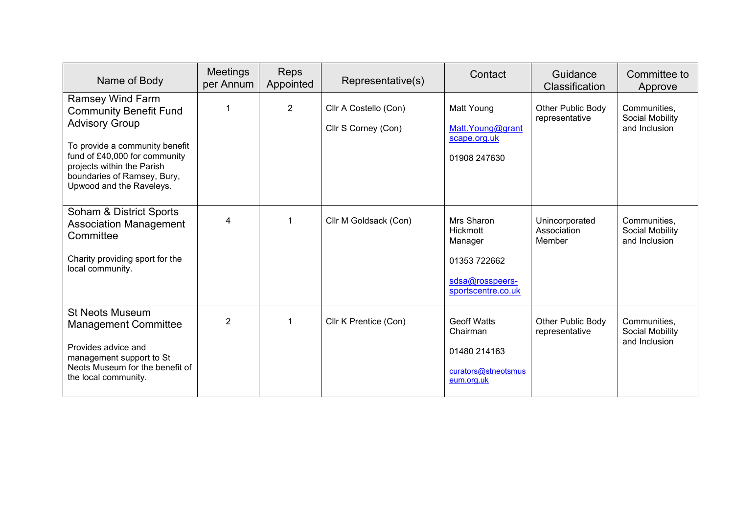| Name of Body                                                                                                                                                                                                                                  | <b>Meetings</b><br>per Annum | <b>Reps</b><br>Appointed | Representative(s)                            | Contact                                                                                    | Guidance<br>Classification              | Committee to<br>Approve                          |
|-----------------------------------------------------------------------------------------------------------------------------------------------------------------------------------------------------------------------------------------------|------------------------------|--------------------------|----------------------------------------------|--------------------------------------------------------------------------------------------|-----------------------------------------|--------------------------------------------------|
| <b>Ramsey Wind Farm</b><br><b>Community Benefit Fund</b><br><b>Advisory Group</b><br>To provide a community benefit<br>fund of £40,000 for community<br>projects within the Parish<br>boundaries of Ramsey, Bury,<br>Upwood and the Raveleys. |                              | $\overline{2}$           | Cllr A Costello (Con)<br>Cllr S Corney (Con) | Matt Young<br>Matt.Young@grant<br>scape.org.uk<br>01908 247630                             | Other Public Body<br>representative     | Communities,<br>Social Mobility<br>and Inclusion |
| Soham & District Sports<br><b>Association Management</b><br>Committee<br>Charity providing sport for the<br>local community.                                                                                                                  | 4                            |                          | Cllr M Goldsack (Con)                        | Mrs Sharon<br>Hickmott<br>Manager<br>01353 722662<br>sdsa@rosspeers-<br>sportscentre.co.uk | Unincorporated<br>Association<br>Member | Communities,<br>Social Mobility<br>and Inclusion |
| <b>St Neots Museum</b><br><b>Management Committee</b><br>Provides advice and<br>management support to St<br>Neots Museum for the benefit of<br>the local community.                                                                           | $\overline{2}$               | -1                       | Cllr K Prentice (Con)                        | <b>Geoff Watts</b><br>Chairman<br>01480 214163<br>curators@stneotsmus<br>eum.org.uk        | Other Public Body<br>representative     | Communities,<br>Social Mobility<br>and Inclusion |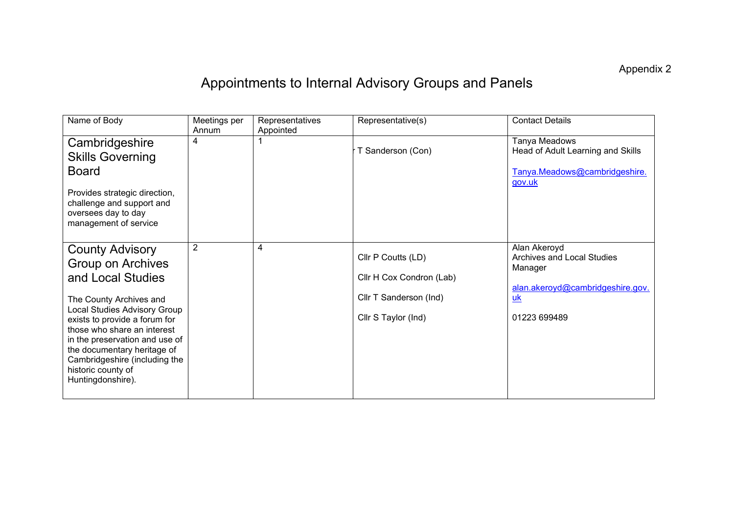Appendix 2

# Appointments to Internal Advisory Groups and Panels

| Name of Body                                                                                                                                                                                                                                                                                                                                    | Meetings per<br>Annum | Representatives<br>Appointed | Representative(s)                                                                               | <b>Contact Details</b>                                                                                          |
|-------------------------------------------------------------------------------------------------------------------------------------------------------------------------------------------------------------------------------------------------------------------------------------------------------------------------------------------------|-----------------------|------------------------------|-------------------------------------------------------------------------------------------------|-----------------------------------------------------------------------------------------------------------------|
| Cambridgeshire<br><b>Skills Governing</b><br><b>Board</b><br>Provides strategic direction,<br>challenge and support and<br>oversees day to day<br>management of service                                                                                                                                                                         | 4                     |                              | T Sanderson (Con)                                                                               | Tanya Meadows<br>Head of Adult Learning and Skills<br>Tanya.Meadows@cambridgeshire.<br>gov.uk                   |
| <b>County Advisory</b><br><b>Group on Archives</b><br>and Local Studies<br>The County Archives and<br>Local Studies Advisory Group<br>exists to provide a forum for<br>those who share an interest<br>in the preservation and use of<br>the documentary heritage of<br>Cambridgeshire (including the<br>historic county of<br>Huntingdonshire). | $\overline{2}$        | 4                            | Cllr P Coutts (LD)<br>Cllr H Cox Condron (Lab)<br>Cllr T Sanderson (Ind)<br>Cllr S Taylor (Ind) | Alan Akeroyd<br>Archives and Local Studies<br>Manager<br>alan.akeroyd@cambridgeshire.gov.<br>uk<br>01223 699489 |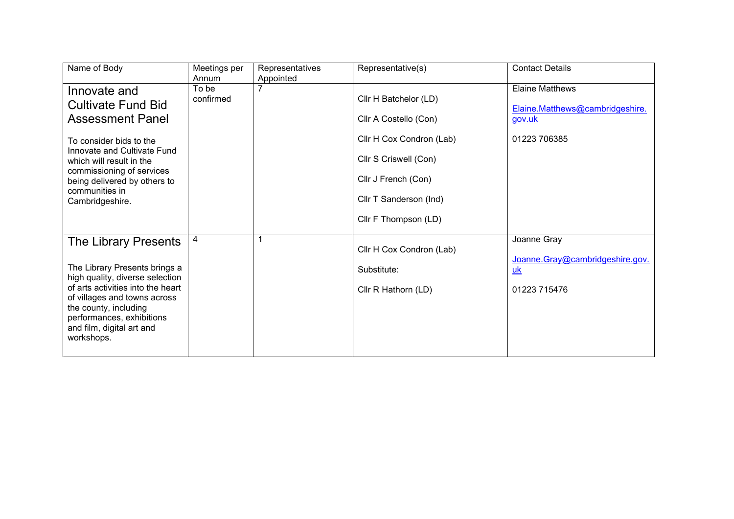| Name of Body                                                                                                                                                                                                                                                          | Meetings per<br>Annum | Representatives<br>Appointed | Representative(s)                                                                                                                                                            | <b>Contact Details</b>                                                              |
|-----------------------------------------------------------------------------------------------------------------------------------------------------------------------------------------------------------------------------------------------------------------------|-----------------------|------------------------------|------------------------------------------------------------------------------------------------------------------------------------------------------------------------------|-------------------------------------------------------------------------------------|
| Innovate and<br><b>Cultivate Fund Bid</b><br><b>Assessment Panel</b><br>To consider bids to the<br>Innovate and Cultivate Fund<br>which will result in the<br>commissioning of services<br>being delivered by others to<br>communities in<br>Cambridgeshire.          | To be<br>confirmed    |                              | Cllr H Batchelor (LD)<br>Cllr A Costello (Con)<br>Cllr H Cox Condron (Lab)<br>Cllr S Criswell (Con)<br>Cllr J French (Con)<br>Cllr T Sanderson (Ind)<br>Cllr F Thompson (LD) | <b>Elaine Matthews</b><br>Elaine.Matthews@cambridgeshire.<br>gov.uk<br>01223 706385 |
| <b>The Library Presents</b><br>The Library Presents brings a<br>high quality, diverse selection<br>of arts activities into the heart<br>of villages and towns across<br>the county, including<br>performances, exhibitions<br>and film, digital art and<br>workshops. | 4                     |                              | Cllr H Cox Condron (Lab)<br>Substitute:<br>Cllr R Hathorn (LD)                                                                                                               | Joanne Gray<br>Joanne.Gray@cambridgeshire.gov.<br>$\underline{uk}$<br>01223 715476  |